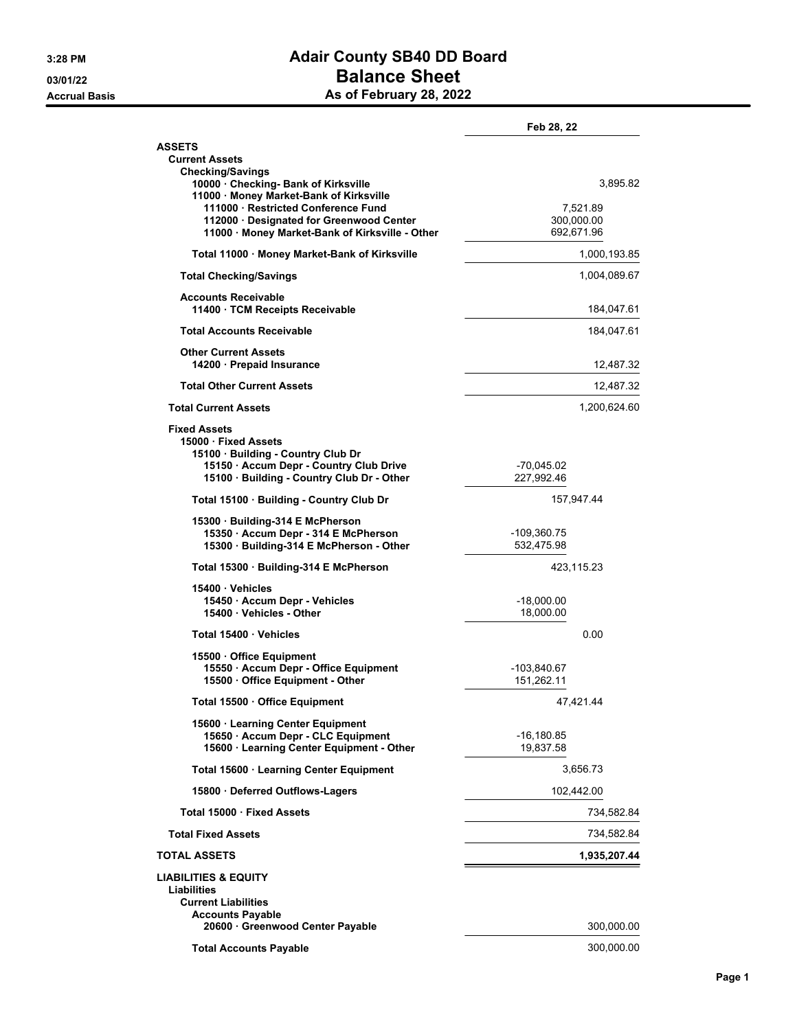## **3:28 PM Adair County SB40 DD Board 03/01/22 Balance Sheet Accrual Basis As of February 28, 2022**

|                                                                                                                                                     | Feb 28, 22                           |
|-----------------------------------------------------------------------------------------------------------------------------------------------------|--------------------------------------|
| <b>ASSETS</b><br><b>Current Assets</b><br><b>Checking/Savings</b>                                                                                   |                                      |
| 10000 Checking- Bank of Kirksville<br>11000 · Money Market-Bank of Kirksville                                                                       | 3,895.82                             |
| 111000 · Restricted Conference Fund<br>112000 Designated for Greenwood Center<br>11000 · Money Market-Bank of Kirksville - Other                    | 7,521.89<br>300,000.00<br>692,671.96 |
| Total 11000 · Money Market-Bank of Kirksville                                                                                                       | 1,000,193.85                         |
| <b>Total Checking/Savings</b>                                                                                                                       | 1,004,089.67                         |
| <b>Accounts Receivable</b><br>11400 · TCM Receipts Receivable                                                                                       | 184,047.61                           |
| <b>Total Accounts Receivable</b>                                                                                                                    | 184,047.61                           |
| <b>Other Current Assets</b><br>14200 · Prepaid Insurance                                                                                            | 12,487.32                            |
| <b>Total Other Current Assets</b>                                                                                                                   | 12,487.32                            |
| <b>Total Current Assets</b>                                                                                                                         | 1,200,624.60                         |
| <b>Fixed Assets</b>                                                                                                                                 |                                      |
| 15000 · Fixed Assets<br>15100 · Building - Country Club Dr<br>15150 · Accum Depr - Country Club Drive<br>15100 · Building - Country Club Dr - Other | -70,045.02<br>227,992.46             |
| Total 15100 · Building - Country Club Dr                                                                                                            | 157,947.44                           |
| 15300 · Building-314 E McPherson<br>15350 · Accum Depr - 314 E McPherson<br>15300 · Building-314 E McPherson - Other                                | -109,360.75<br>532,475.98            |
| Total 15300 · Building-314 E McPherson                                                                                                              | 423,115.23                           |
| 15400 · Vehicles<br>15450 · Accum Depr - Vehicles<br>15400 · Vehicles - Other                                                                       | -18,000.00<br>18,000.00              |
| Total 15400 Vehicles                                                                                                                                | 0.00                                 |
| 15500 Office Equipment<br>15550 · Accum Depr - Office Equipment<br>15500 Office Equipment - Other                                                   | -103,840.67<br>151,262.11            |
| Total 15500 · Office Equipment                                                                                                                      | 47,421.44                            |
| 15600 · Learning Center Equipment<br>15650 · Accum Depr - CLC Equipment<br>15600 · Learning Center Equipment - Other                                | $-16, 180.85$<br>19,837.58           |
| Total 15600 · Learning Center Equipment                                                                                                             | 3,656.73                             |
| 15800 · Deferred Outflows-Lagers                                                                                                                    | 102,442.00                           |
| Total 15000 · Fixed Assets                                                                                                                          | 734,582.84                           |
| <b>Total Fixed Assets</b>                                                                                                                           | 734,582.84                           |
| <b>TOTAL ASSETS</b>                                                                                                                                 | 1,935,207.44                         |
| <b>LIABILITIES &amp; EQUITY</b><br>Liabilities<br><b>Current Liabilities</b><br><b>Accounts Payable</b>                                             |                                      |
| 20600 Greenwood Center Payable                                                                                                                      | 300,000.00                           |
| <b>Total Accounts Payable</b>                                                                                                                       | 300,000.00                           |